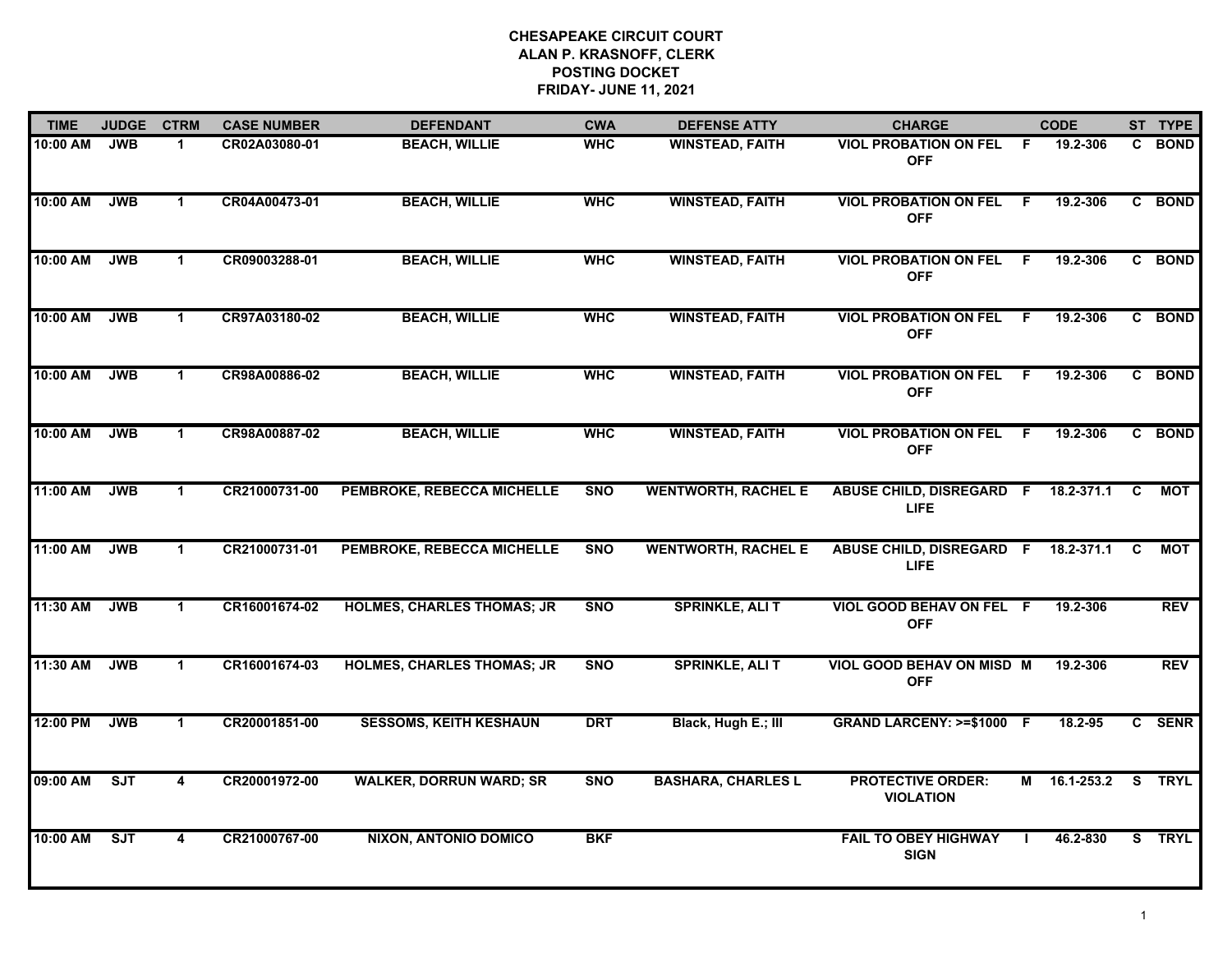| <b>TIME</b> | <b>JUDGE</b> | <b>CTRM</b>          | <b>CASE NUMBER</b> | <b>DEFENDANT</b>                  | <b>CWA</b> | <b>DEFENSE ATTY</b>        | <b>CHARGE</b>                                  |     | <b>CODE</b>  |    | ST TYPE     |
|-------------|--------------|----------------------|--------------------|-----------------------------------|------------|----------------------------|------------------------------------------------|-----|--------------|----|-------------|
| 10:00 AM    | <b>JWB</b>   | 1                    | CR02A03080-01      | <b>BEACH, WILLIE</b>              | <b>WHC</b> | <b>WINSTEAD, FAITH</b>     | <b>VIOL PROBATION ON FEL</b><br><b>OFF</b>     | -F  | 19.2-306     |    | C BOND      |
| 10:00 AM    | <b>JWB</b>   | $\mathbf{1}$         | CR04A00473-01      | <b>BEACH, WILLIE</b>              | <b>WHC</b> | <b>WINSTEAD, FAITH</b>     | <b>VIOL PROBATION ON FEL</b><br><b>OFF</b>     | F.  | 19.2-306     |    | C BOND      |
| 10:00 AM    | <b>JWB</b>   | $\blacktriangleleft$ | CR09003288-01      | <b>BEACH, WILLIE</b>              | <b>WHC</b> | <b>WINSTEAD, FAITH</b>     | <b>VIOL PROBATION ON FEL</b><br><b>OFF</b>     | F.  | 19.2-306     |    | C BOND      |
| 10:00 AM    | <b>JWB</b>   | $\mathbf 1$          | CR97A03180-02      | <b>BEACH, WILLIE</b>              | <b>WHC</b> | <b>WINSTEAD, FAITH</b>     | <b>VIOL PROBATION ON FEL</b><br><b>OFF</b>     | - F | 19.2-306     |    | C BOND      |
| 10:00 AM    | <b>JWB</b>   | $\mathbf{1}$         | CR98A00886-02      | <b>BEACH, WILLIE</b>              | <b>WHC</b> | <b>WINSTEAD, FAITH</b>     | <b>VIOL PROBATION ON FEL</b><br><b>OFF</b>     | -F  | 19.2-306     |    | C BOND      |
| 10:00 AM    | <b>JWB</b>   | $\blacktriangleleft$ | CR98A00887-02      | <b>BEACH, WILLIE</b>              | <b>WHC</b> | <b>WINSTEAD, FAITH</b>     | <b>VIOL PROBATION ON FEL</b><br><b>OFF</b>     | F   | 19.2-306     |    | C BOND      |
| 11:00 AM    | <b>JWB</b>   | $\blacktriangleleft$ | CR21000731-00      | PEMBROKE, REBECCA MICHELLE        | <b>SNO</b> | <b>WENTWORTH, RACHEL E</b> | ABUSE CHILD, DISREGARD F<br><b>LIFE</b>        |     | 18.2-371.1   | C  | <b>MOT</b>  |
| 11:00 AM    | <b>JWB</b>   | $\mathbf 1$          | CR21000731-01      | PEMBROKE, REBECCA MICHELLE        | <b>SNO</b> | <b>WENTWORTH, RACHEL E</b> | <b>ABUSE CHILD, DISREGARD F</b><br><b>LIFE</b> |     | 18.2-371.1   | C  | MOT         |
| 11:30 AM    | <b>JWB</b>   | $\blacktriangleleft$ | CR16001674-02      | <b>HOLMES, CHARLES THOMAS; JR</b> | <b>SNO</b> | <b>SPRINKLE, ALI T</b>     | VIOL GOOD BEHAV ON FEL F<br><b>OFF</b>         |     | 19.2-306     |    | <b>REV</b>  |
| 11:30 AM    | <b>JWB</b>   | $\mathbf{1}$         | CR16001674-03      | <b>HOLMES, CHARLES THOMAS; JR</b> | <b>SNO</b> | <b>SPRINKLE, ALI T</b>     | <b>VIOL GOOD BEHAV ON MISD M</b><br><b>OFF</b> |     | 19.2-306     |    | <b>REV</b>  |
| 12:00 PM    | <b>JWB</b>   | $\blacktriangleleft$ | CR20001851-00      | <b>SESSOMS, KEITH KESHAUN</b>     | <b>DRT</b> | Black, Hugh E.; III        | GRAND LARCENY: >=\$1000 F                      |     | 18.2-95      |    | C SENR      |
| 09:00 AM    | ST           | 4                    | CR20001972-00      | <b>WALKER, DORRUN WARD; SR</b>    | <b>SNO</b> | <b>BASHARA, CHARLES L</b>  | <b>PROTECTIVE ORDER:</b><br><b>VIOLATION</b>   |     | M 16.1-253.2 |    | S TRYL      |
| 10:00 AM    | ST           | 4                    | CR21000767-00      | <b>NIXON, ANTONIO DOMICO</b>      | <b>BKF</b> |                            | <b>FAIL TO OBEY HIGHWAY</b><br><b>SIGN</b>     |     | 46.2-830     | S. | <b>TRYL</b> |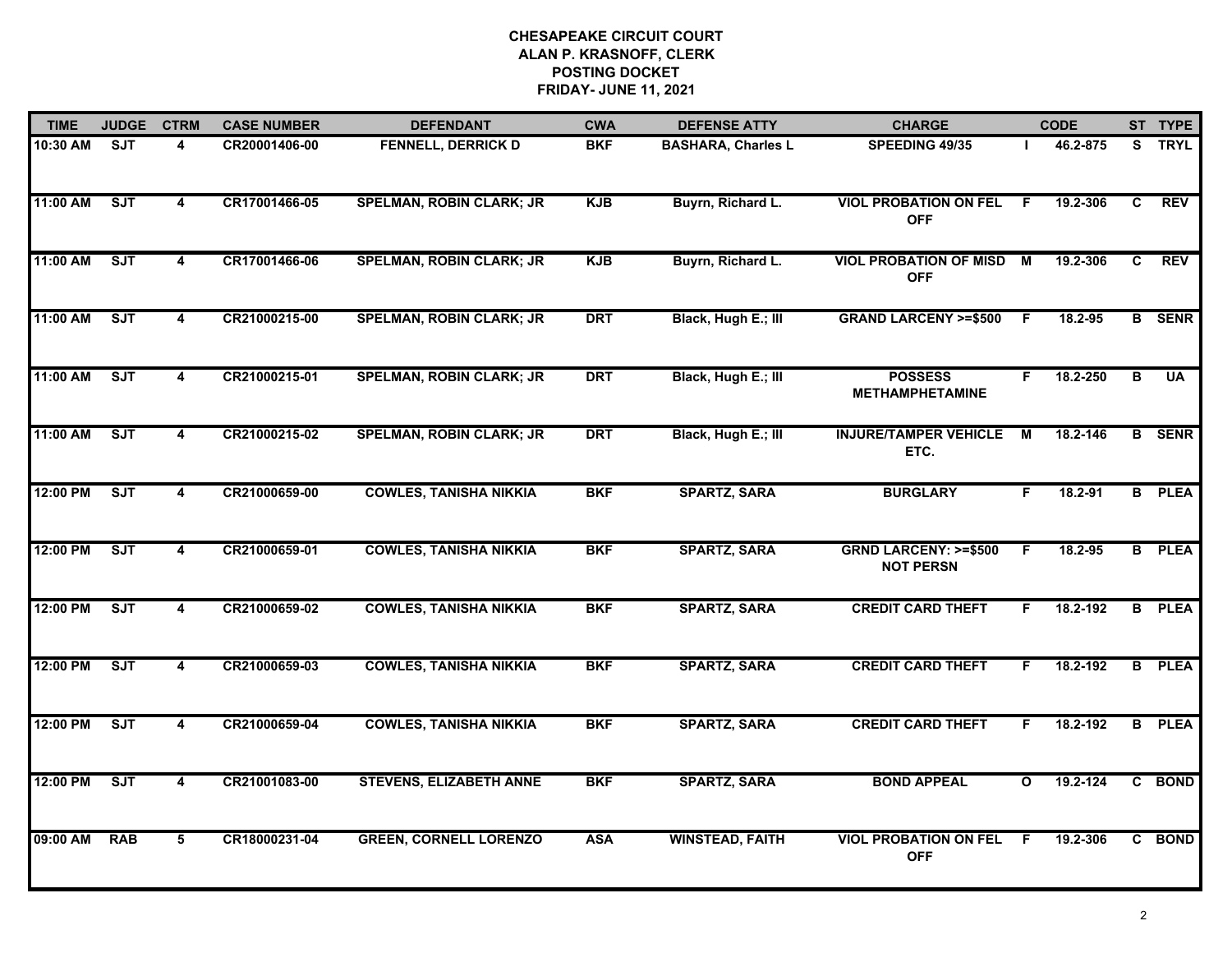| <b>TIME</b> | <b>JUDGE</b>            | <b>CTRM</b>             | <b>CASE NUMBER</b> | <b>DEFENDANT</b>                | <b>CWA</b> | <b>DEFENSE ATTY</b>       | <b>CHARGE</b>                                       |                         | <b>CODE</b> |                | ST TYPE       |
|-------------|-------------------------|-------------------------|--------------------|---------------------------------|------------|---------------------------|-----------------------------------------------------|-------------------------|-------------|----------------|---------------|
| 10:30 AM    | $\overline{\text{SJT}}$ | 4                       | CR20001406-00      | <b>FENNELL, DERRICK D</b>       | <b>BKF</b> | <b>BASHARA, Charles L</b> | SPEEDING 49/35                                      |                         | 46.2-875    |                | S TRYL        |
| 11:00 AM    | SJT                     | $\overline{\mathbf{4}}$ | CR17001466-05      | <b>SPELMAN, ROBIN CLARK; JR</b> | <b>KJB</b> | Buyrn, Richard L.         | <b>VIOL PROBATION ON FEL</b><br><b>OFF</b>          | - F                     | 19.2-306    | C              | <b>REV</b>    |
| 11:00 AM    | ST                      | $\overline{\mathbf{4}}$ | CR17001466-06      | <b>SPELMAN, ROBIN CLARK; JR</b> | <b>KJB</b> | Buyrn, Richard L.         | <b>VIOL PROBATION OF MISD</b><br><b>OFF</b>         | $\overline{M}$          | 19.2-306    | $\overline{c}$ | <b>REV</b>    |
| 11:00 AM    | SJT                     | 4                       | CR21000215-00      | <b>SPELMAN, ROBIN CLARK; JR</b> | <b>DRT</b> | Black, Hugh E.; III       | <b>GRAND LARCENY &gt;=\$500</b>                     | F.                      | 18.2-95     |                | <b>B</b> SENR |
| 11:00 AM    | SJT                     | 4                       | CR21000215-01      | <b>SPELMAN, ROBIN CLARK; JR</b> | <b>DRT</b> | Black, Hugh E.; III       | <b>POSSESS</b><br><b>METHAMPHETAMINE</b>            | F.                      | 18.2-250    | В              | <b>UA</b>     |
| 11:00 AM    | ST                      | 4                       | CR21000215-02      | <b>SPELMAN, ROBIN CLARK; JR</b> | <b>DRT</b> | Black, Hugh E.; III       | <b>INJURE/TAMPER VEHICLE</b><br>ETC.                | M                       | 18.2-146    |                | <b>B</b> SENR |
| 12:00 PM    | ST                      | $\overline{\mathbf{4}}$ | CR21000659-00      | <b>COWLES, TANISHA NIKKIA</b>   | <b>BKF</b> | <b>SPARTZ, SARA</b>       | <b>BURGLARY</b>                                     | F                       | 18.2-91     |                | <b>B</b> PLEA |
| 12:00 PM    | ST                      | 4                       | CR21000659-01      | <b>COWLES, TANISHA NIKKIA</b>   | <b>BKF</b> | <b>SPARTZ, SARA</b>       | <b>GRND LARCENY: &gt;=\$500</b><br><b>NOT PERSN</b> | F                       | 18.2-95     |                | <b>B</b> PLEA |
| 12:00 PM    | SJT                     | 4                       | CR21000659-02      | <b>COWLES, TANISHA NIKKIA</b>   | <b>BKF</b> | <b>SPARTZ, SARA</b>       | <b>CREDIT CARD THEFT</b>                            | F.                      | 18.2-192    |                | <b>B</b> PLEA |
| 12:00 PM    | ST                      | 4                       | CR21000659-03      | <b>COWLES, TANISHA NIKKIA</b>   | <b>BKF</b> | <b>SPARTZ, SARA</b>       | <b>CREDIT CARD THEFT</b>                            | F.                      | 18.2-192    |                | <b>B</b> PLEA |
| 12:00 PM    | <b>SJT</b>              | $\overline{\mathbf{4}}$ | CR21000659-04      | <b>COWLES, TANISHA NIKKIA</b>   | <b>BKF</b> | <b>SPARTZ, SARA</b>       | <b>CREDIT CARD THEFT</b>                            | F.                      | 18.2-192    |                | <b>B</b> PLEA |
| 12:00 PM    | ST                      | $\overline{4}$          | CR21001083-00      | <b>STEVENS, ELIZABETH ANNE</b>  | <b>BKF</b> | <b>SPARTZ, SARA</b>       | <b>BOND APPEAL</b>                                  | $\overline{\mathbf{o}}$ | 19.2-124    |                | C BOND        |
| 09:00 AM    | <b>RAB</b>              | 5                       | CR18000231-04      | <b>GREEN, CORNELL LORENZO</b>   | <b>ASA</b> | <b>WINSTEAD, FAITH</b>    | <b>VIOL PROBATION ON FEL</b><br><b>OFF</b>          | E                       | 19.2-306    |                | C BOND        |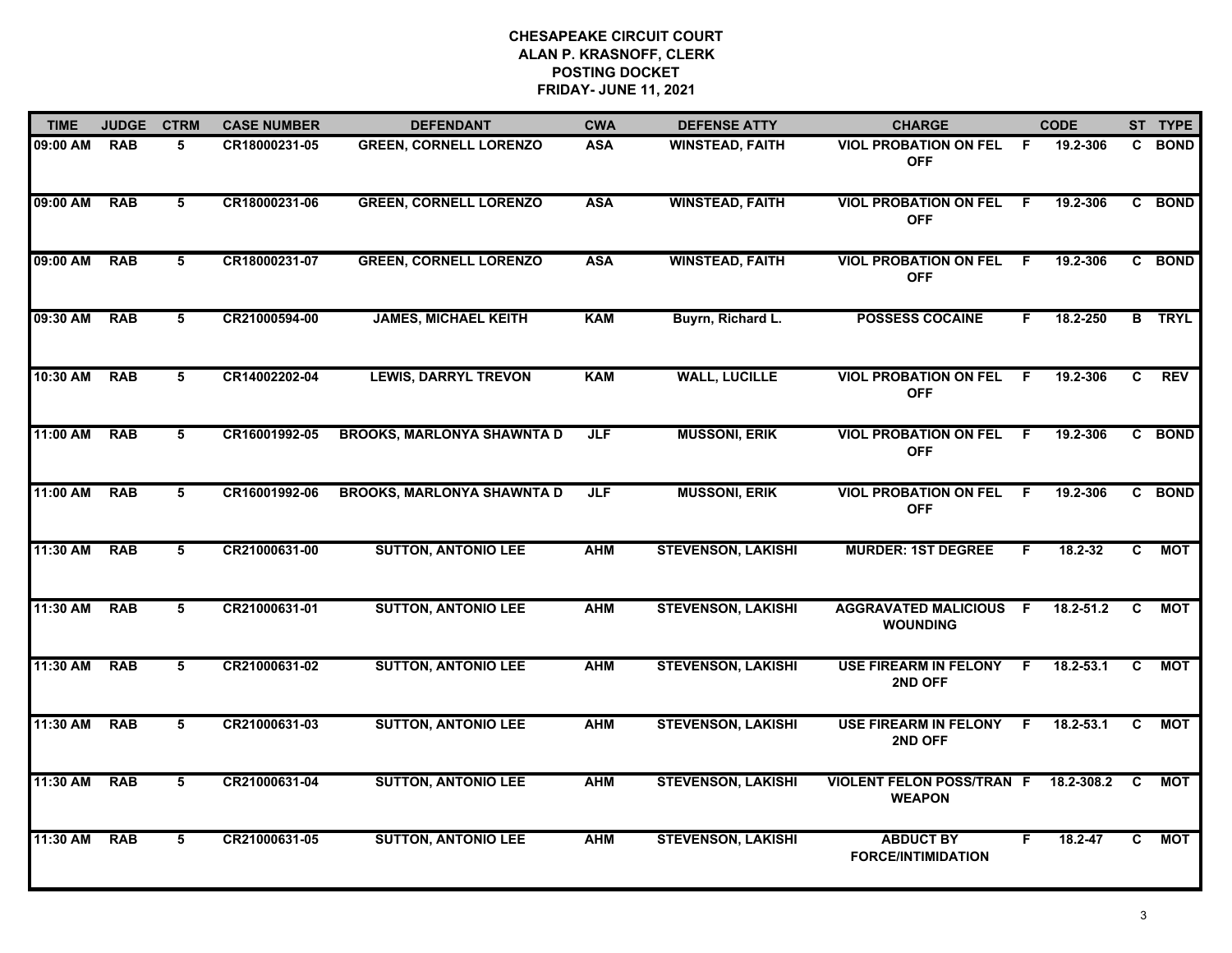| <b>TIME</b> | <b>JUDGE</b> | <b>CTRM</b>     | <b>CASE NUMBER</b> | <b>DEFENDANT</b>                  | <b>CWA</b> | <b>DEFENSE ATTY</b>       | <b>CHARGE</b>                                     |     | <b>CODE</b>   |    | ST TYPE       |
|-------------|--------------|-----------------|--------------------|-----------------------------------|------------|---------------------------|---------------------------------------------------|-----|---------------|----|---------------|
| 09:00 AM    | <b>RAB</b>   | 5               | CR18000231-05      | <b>GREEN, CORNELL LORENZO</b>     | <b>ASA</b> | <b>WINSTEAD, FAITH</b>    | <b>VIOL PROBATION ON FEL</b><br><b>OFF</b>        | -F  | 19.2-306      |    | C BOND        |
| 09:00 AM    | <b>RAB</b>   | 5               | CR18000231-06      | <b>GREEN, CORNELL LORENZO</b>     | <b>ASA</b> | <b>WINSTEAD, FAITH</b>    | <b>VIOL PROBATION ON FEL</b><br><b>OFF</b>        | -F. | 19.2-306      |    | C BOND        |
| 09:00 AM    | <b>RAB</b>   | 5               | CR18000231-07      | <b>GREEN, CORNELL LORENZO</b>     | <b>ASA</b> | <b>WINSTEAD, FAITH</b>    | <b>VIOL PROBATION ON FEL</b><br><b>OFF</b>        | -F  | 19.2-306      |    | C BOND        |
| 09:30 AM    | <b>RAB</b>   | 5               | CR21000594-00      | <b>JAMES, MICHAEL KEITH</b>       | <b>KAM</b> | Buyrn, Richard L.         | <b>POSSESS COCAINE</b>                            | F.  | 18.2-250      |    | <b>B</b> TRYL |
| 10:30 AM    | <b>RAB</b>   | 5               | CR14002202-04      | <b>LEWIS, DARRYL TREVON</b>       | <b>KAM</b> | <b>WALL, LUCILLE</b>      | <b>VIOL PROBATION ON FEL</b><br><b>OFF</b>        | F.  | 19.2-306      | C  | <b>REV</b>    |
| 11:00 AM    | <b>RAB</b>   | 5               | CR16001992-05      | <b>BROOKS, MARLONYA SHAWNTA D</b> | <b>JLF</b> | <b>MUSSONI, ERIK</b>      | <b>VIOL PROBATION ON FEL</b><br><b>OFF</b>        | -F. | 19.2-306      |    | C BOND        |
| 11:00 AM    | <b>RAB</b>   | 5               | CR16001992-06      | <b>BROOKS, MARLONYA SHAWNTA D</b> | <b>JLF</b> | <b>MUSSONI, ERIK</b>      | <b>VIOL PROBATION ON FEL</b><br><b>OFF</b>        | - F | 19.2-306      |    | C BOND        |
| 11:30 AM    | <b>RAB</b>   | $5\overline{5}$ | CR21000631-00      | <b>SUTTON, ANTONIO LEE</b>        | <b>AHM</b> | <b>STEVENSON, LAKISHI</b> | <b>MURDER: 1ST DEGREE</b>                         | F   | 18.2-32       | C  | <b>MOT</b>    |
| 11:30 AM    | <b>RAB</b>   | 5               | CR21000631-01      | <b>SUTTON, ANTONIO LEE</b>        | <b>AHM</b> | <b>STEVENSON, LAKISHI</b> | <b>AGGRAVATED MALICIOUS</b><br><b>WOUNDING</b>    | -F. | $18.2 - 51.2$ | C  | MOT           |
| 11:30 AM    | <b>RAB</b>   | 5               | CR21000631-02      | <b>SUTTON, ANTONIO LEE</b>        | <b>AHM</b> | <b>STEVENSON, LAKISHI</b> | <b>USE FIREARM IN FELONY</b><br>2ND OFF           | F.  | 18.2-53.1     | C. | МОТ           |
| 11:30 AM    | <b>RAB</b>   | 5               | CR21000631-03      | <b>SUTTON, ANTONIO LEE</b>        | <b>AHM</b> | <b>STEVENSON, LAKISHI</b> | USE FIREARM IN FELONY F<br>2ND OFF                |     | $18.2 - 53.1$ | C  | <b>MOT</b>    |
| 11:30 AM    | <b>RAB</b>   | 5               | CR21000631-04      | <b>SUTTON, ANTONIO LEE</b>        | <b>AHM</b> | <b>STEVENSON, LAKISHI</b> | <b>VIOLENT FELON POSS/TRAN F</b><br><b>WEAPON</b> |     | 18.2-308.2    | C  | MOT           |
| 11:30 AM    | <b>RAB</b>   | 5               | CR21000631-05      | <b>SUTTON, ANTONIO LEE</b>        | <b>AHM</b> | <b>STEVENSON, LAKISHI</b> | <b>ABDUCT BY</b><br><b>FORCE/INTIMIDATION</b>     | F   | 18.2-47       | C. | <b>MOT</b>    |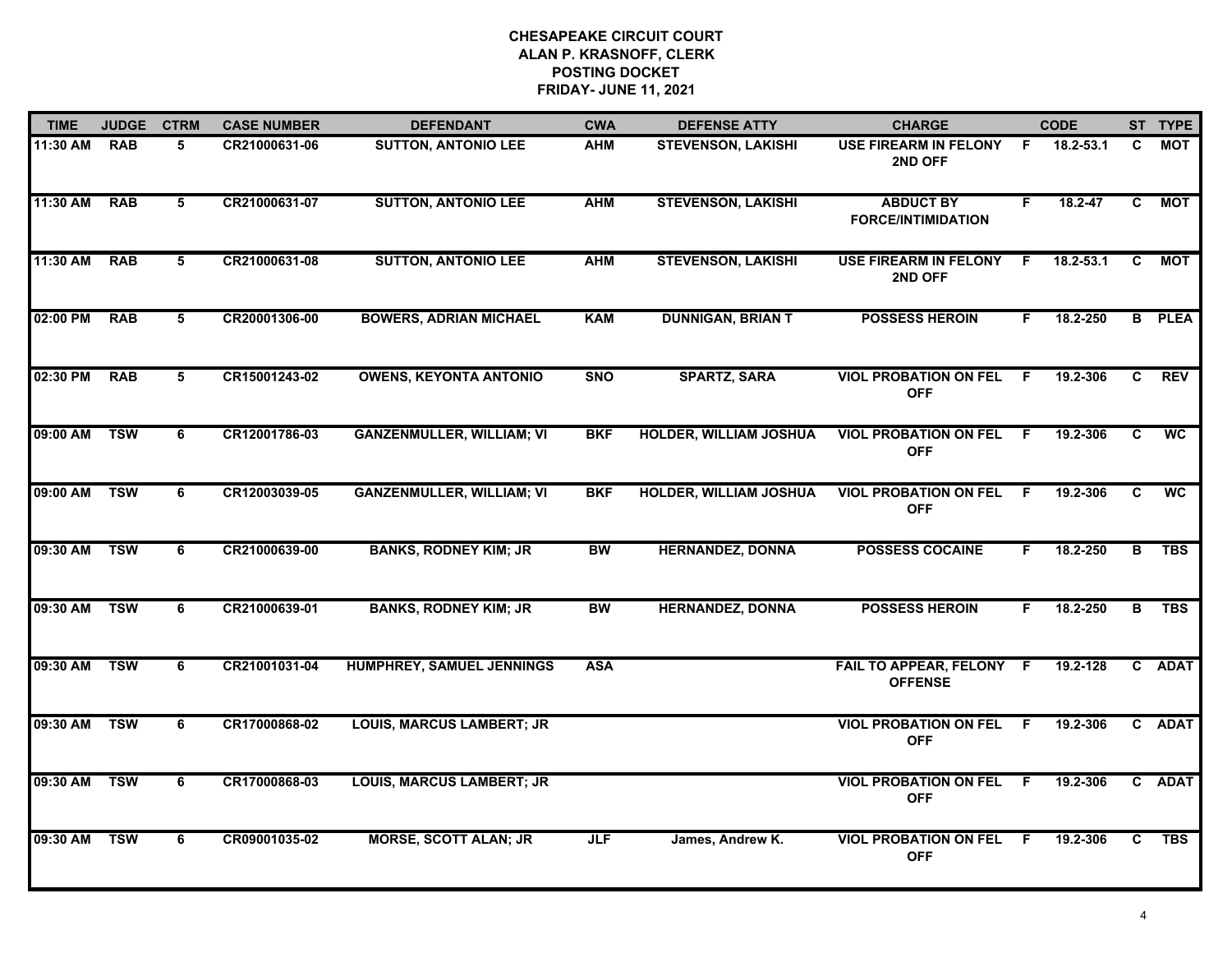| <b>TIME</b> | <b>JUDGE</b> | <b>CTRM</b>     | <b>CASE NUMBER</b> | <b>DEFENDANT</b>                 | <b>CWA</b> | <b>DEFENSE ATTY</b>           | <b>CHARGE</b>                                 |     | <b>CODE</b>   |    | ST TYPE       |
|-------------|--------------|-----------------|--------------------|----------------------------------|------------|-------------------------------|-----------------------------------------------|-----|---------------|----|---------------|
| 11:30 AM    | <b>RAB</b>   | 5               | CR21000631-06      | <b>SUTTON, ANTONIO LEE</b>       | AHM        | <b>STEVENSON, LAKISHI</b>     | USE FIREARM IN FELONY<br>2ND OFF              | -F  | 18.2-53.1     | C. | MOT           |
| 11:30 AM    | <b>RAB</b>   | 5               | CR21000631-07      | <b>SUTTON, ANTONIO LEE</b>       | <b>AHM</b> | <b>STEVENSON, LAKISHI</b>     | <b>ABDUCT BY</b><br><b>FORCE/INTIMIDATION</b> | F   | $18.2 - 47$   | C  | <b>MOT</b>    |
| 11:30 AM    | <b>RAB</b>   | $5\overline{5}$ | CR21000631-08      | <b>SUTTON, ANTONIO LEE</b>       | <b>AHM</b> | <b>STEVENSON, LAKISHI</b>     | <b>USE FIREARM IN FELONY</b><br>2ND OFF       | F   | $18.2 - 53.1$ | C  | <b>MOT</b>    |
| 02:00 PM    | <b>RAB</b>   | 5               | CR20001306-00      | <b>BOWERS, ADRIAN MICHAEL</b>    | <b>KAM</b> | <b>DUNNIGAN, BRIAN T</b>      | <b>POSSESS HEROIN</b>                         | F.  | 18.2-250      |    | <b>B</b> PLEA |
| 02:30 PM    | <b>RAB</b>   | 5               | CR15001243-02      | <b>OWENS, KEYONTA ANTONIO</b>    | <b>SNO</b> | <b>SPARTZ, SARA</b>           | <b>VIOL PROBATION ON FEL</b><br><b>OFF</b>    | -F. | 19.2-306      | C  | <b>REV</b>    |
| 09:00 AM    | <b>TSW</b>   | 6               | CR12001786-03      | <b>GANZENMULLER, WILLIAM; VI</b> | <b>BKF</b> | <b>HOLDER, WILLIAM JOSHUA</b> | <b>VIOL PROBATION ON FEL</b><br><b>OFF</b>    | F.  | 19.2-306      | C. | <b>WC</b>     |
| 09:00 AM    | <b>TSW</b>   | 6               | CR12003039-05      | <b>GANZENMULLER, WILLIAM; VI</b> | <b>BKF</b> | <b>HOLDER, WILLIAM JOSHUA</b> | <b>VIOL PROBATION ON FEL</b><br><b>OFF</b>    | F.  | 19.2-306      | C  | <b>WC</b>     |
| 09:30 AM    | <b>TSW</b>   | 6               | CR21000639-00      | <b>BANKS, RODNEY KIM; JR</b>     | <b>BW</b>  | <b>HERNANDEZ, DONNA</b>       | <b>POSSESS COCAINE</b>                        | F.  | 18.2-250      | B  | <b>TBS</b>    |
| 09:30 AM    | <b>TSW</b>   | 6               | CR21000639-01      | <b>BANKS, RODNEY KIM; JR</b>     | <b>BW</b>  | <b>HERNANDEZ, DONNA</b>       | <b>POSSESS HEROIN</b>                         | F.  | 18.2-250      | B  | <b>TBS</b>    |
| 09:30 AM    | <b>TSW</b>   | 6               | CR21001031-04      | HUMPHREY, SAMUEL JENNINGS        | <b>ASA</b> |                               | FAIL TO APPEAR, FELONY F<br><b>OFFENSE</b>    |     | 19.2-128      |    | C ADAT        |
| 09:30 AM    | <b>TSW</b>   | 6               | CR17000868-02      | <b>LOUIS, MARCUS LAMBERT; JR</b> |            |                               | <b>VIOL PROBATION ON FEL</b><br><b>OFF</b>    | - F | 19.2-306      |    | C ADAT        |
| 09:30 AM    | <b>TSW</b>   | 6               | CR17000868-03      | <b>LOUIS, MARCUS LAMBERT; JR</b> |            |                               | <b>VIOL PROBATION ON FEL</b><br><b>OFF</b>    | -F  | 19.2-306      |    | C ADAT        |
| 09:30 AM    | <b>TSW</b>   | 6               | CR09001035-02      | <b>MORSE, SCOTT ALAN; JR</b>     | <b>JLF</b> | James, Andrew K.              | <b>VIOL PROBATION ON FEL</b><br><b>OFF</b>    | -F  | 19.2-306      | C  | <b>TBS</b>    |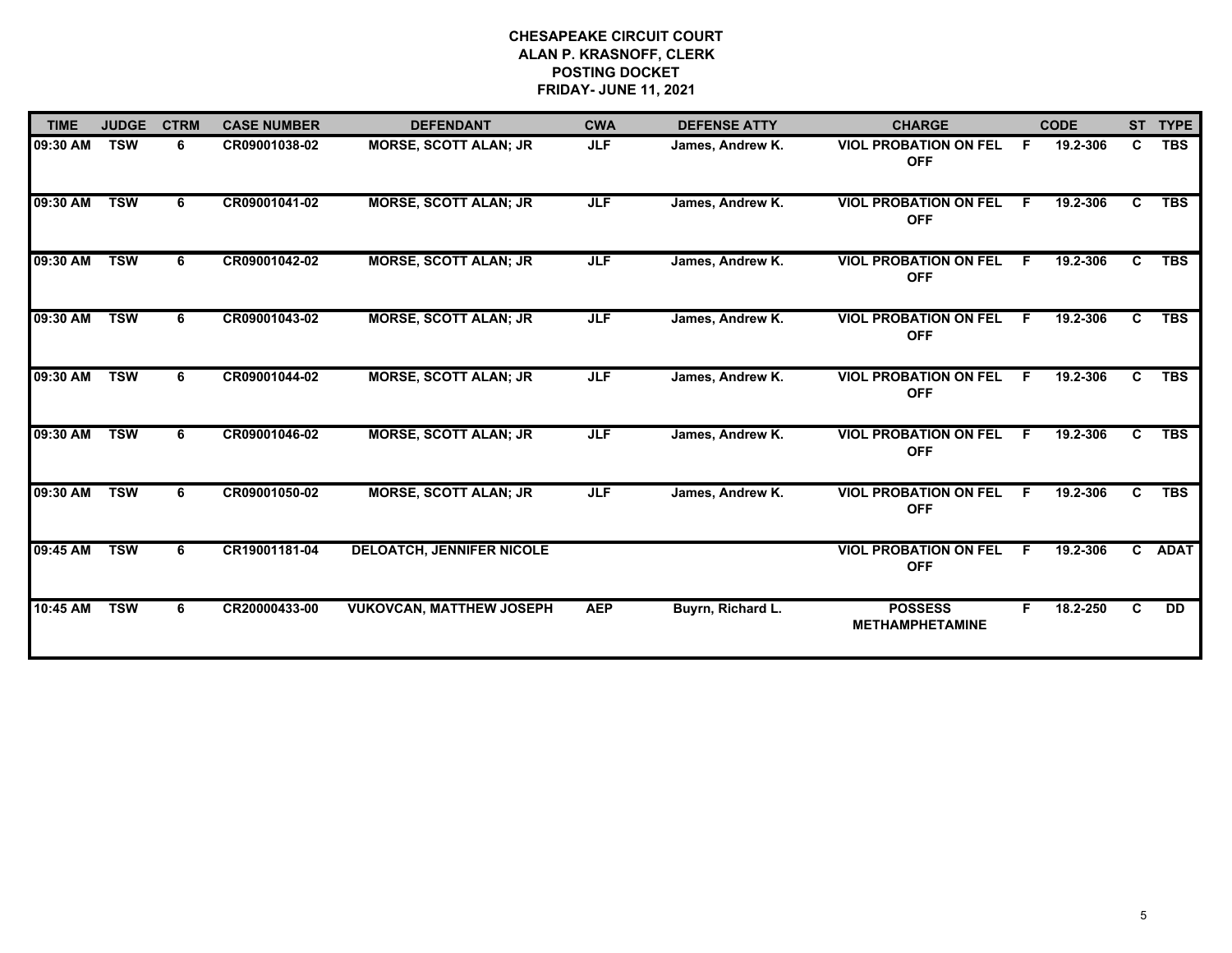| <b>TIME</b> | <b>JUDGE</b> | <b>CTRM</b> | <b>CASE NUMBER</b> | <b>DEFENDANT</b>                 | <b>CWA</b> | <b>DEFENSE ATTY</b> | <b>CHARGE</b>                              |     | <b>CODE</b> |    | ST TYPE     |
|-------------|--------------|-------------|--------------------|----------------------------------|------------|---------------------|--------------------------------------------|-----|-------------|----|-------------|
| 09:30 AM    | <b>TSW</b>   | 6           | CR09001038-02      | <b>MORSE, SCOTT ALAN; JR</b>     | <b>JLF</b> | James, Andrew K.    | <b>VIOL PROBATION ON FEL</b><br><b>OFF</b> | E   | 19.2-306    | C. | <b>TBS</b>  |
| 09:30 AM    | <b>TSW</b>   | 6           | CR09001041-02      | <b>MORSE, SCOTT ALAN; JR</b>     | JLF        | James, Andrew K.    | <b>VIOL PROBATION ON FEL</b><br><b>OFF</b> | F.  | 19.2-306    | C. | <b>TBS</b>  |
| 09:30 AM    | <b>TSW</b>   | 6           | CR09001042-02      | <b>MORSE, SCOTT ALAN; JR</b>     | <b>JLF</b> | James, Andrew K.    | <b>VIOL PROBATION ON FEL</b><br><b>OFF</b> | F.  | 19.2-306    | C. | <b>TBS</b>  |
| 09:30 AM    | <b>TSW</b>   | 6           | CR09001043-02      | <b>MORSE, SCOTT ALAN; JR</b>     | <b>JLF</b> | James, Andrew K.    | <b>VIOL PROBATION ON FEL</b><br><b>OFF</b> | F   | 19.2-306    | C. | <b>TBS</b>  |
| 09:30 AM    | <b>TSW</b>   | 6           | CR09001044-02      | <b>MORSE, SCOTT ALAN: JR</b>     | <b>JLF</b> | James, Andrew K.    | <b>VIOL PROBATION ON FEL</b><br><b>OFF</b> | F.  | 19.2-306    | C. | <b>TBS</b>  |
| 09:30 AM    | <b>TSW</b>   | 6           | CR09001046-02      | <b>MORSE, SCOTT ALAN; JR</b>     | JLF        | James, Andrew K.    | <b>VIOL PROBATION ON FEL</b><br><b>OFF</b> | F.  | 19.2-306    | C. | <b>TBS</b>  |
| 09:30 AM    | <b>TSW</b>   | 6.          | CR09001050-02      | <b>MORSE, SCOTT ALAN; JR</b>     | JLF        | James, Andrew K.    | <b>VIOL PROBATION ON FEL</b><br><b>OFF</b> | -F. | 19.2-306    | C. | <b>TBS</b>  |
| 09:45 AM    | <b>TSW</b>   | 6           | CR19001181-04      | <b>DELOATCH, JENNIFER NICOLE</b> |            |                     | <b>VIOL PROBATION ON FEL</b><br><b>OFF</b> | F.  | 19.2-306    | C. | <b>ADAT</b> |
| 10:45 AM    | <b>TSW</b>   | 6           | CR20000433-00      | <b>VUKOVCAN, MATTHEW JOSEPH</b>  | <b>AEP</b> | Buyrn, Richard L.   | <b>POSSESS</b><br><b>METHAMPHETAMINE</b>   | F.  | 18.2-250    | C. | <b>DD</b>   |